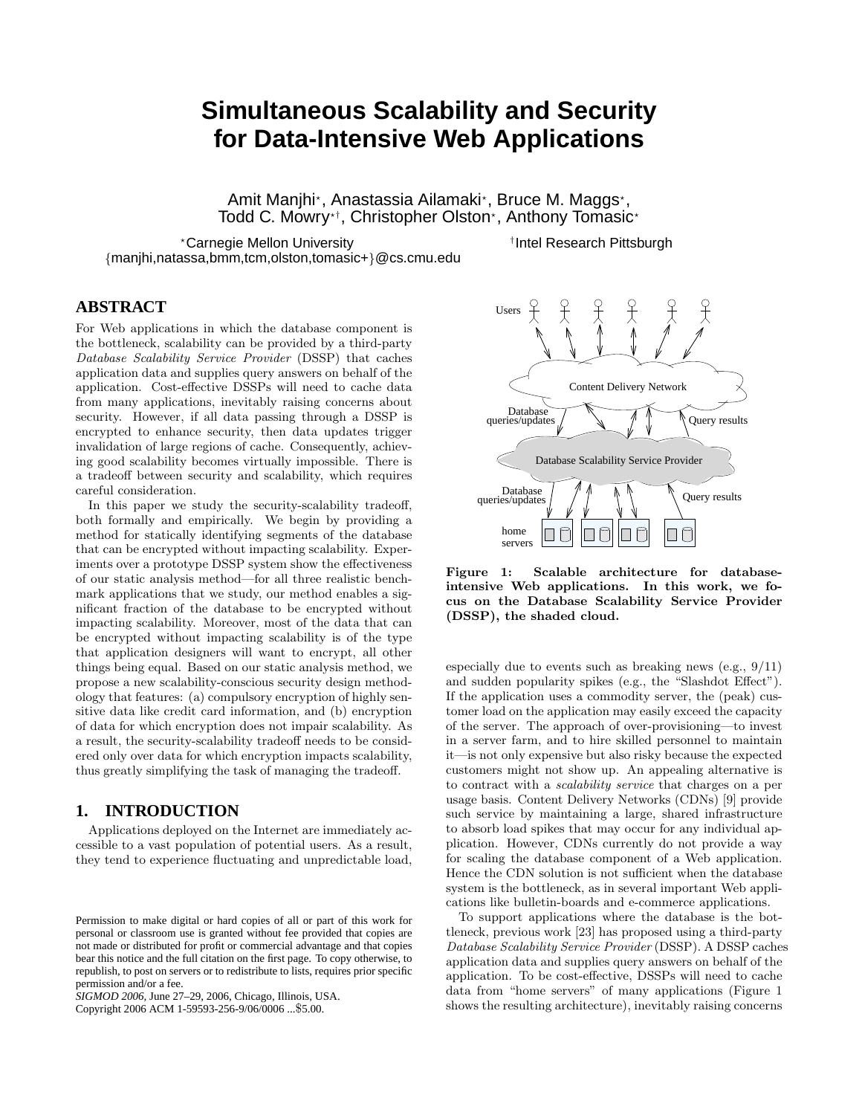# **Simultaneous Scalability and Security for Data-Intensive Web Applications**

Amit Manjhi\*, Anastassia Ailamaki\*, Bruce M. Maggs\*, Todd C. Mowry\*†, Christopher Olston\*, Anthony Tomasic\*

?Carnegie Mellon University {manjhi,natassa,bmm,tcm,olston,tomasic+}@cs.cmu.edu † Intel Research Pittsburgh

### **ABSTRACT**

For Web applications in which the database component is the bottleneck, scalability can be provided by a third-party Database Scalability Service Provider (DSSP) that caches application data and supplies query answers on behalf of the application. Cost-effective DSSPs will need to cache data from many applications, inevitably raising concerns about security. However, if all data passing through a DSSP is encrypted to enhance security, then data updates trigger invalidation of large regions of cache. Consequently, achieving good scalability becomes virtually impossible. There is a tradeoff between security and scalability, which requires careful consideration.

In this paper we study the security-scalability tradeoff, both formally and empirically. We begin by providing a method for statically identifying segments of the database that can be encrypted without impacting scalability. Experiments over a prototype DSSP system show the effectiveness of our static analysis method—for all three realistic benchmark applications that we study, our method enables a significant fraction of the database to be encrypted without impacting scalability. Moreover, most of the data that can be encrypted without impacting scalability is of the type that application designers will want to encrypt, all other things being equal. Based on our static analysis method, we propose a new scalability-conscious security design methodology that features: (a) compulsory encryption of highly sensitive data like credit card information, and (b) encryption of data for which encryption does not impair scalability. As a result, the security-scalability tradeoff needs to be considered only over data for which encryption impacts scalability, thus greatly simplifying the task of managing the tradeoff.

# **1. INTRODUCTION**

Applications deployed on the Internet are immediately accessible to a vast population of potential users. As a result, they tend to experience fluctuating and unpredictable load,

*SIGMOD 2006,* June 27–29, 2006, Chicago, Illinois, USA.

Copyright 2006 ACM 1-59593-256-9/06/0006 ...\$5.00.



Figure 1: Scalable architecture for databaseintensive Web applications. In this work, we focus on the Database Scalability Service Provider (DSSP), the shaded cloud.

especially due to events such as breaking news (e.g.,  $9/11$ ) and sudden popularity spikes (e.g., the "Slashdot Effect"). If the application uses a commodity server, the (peak) customer load on the application may easily exceed the capacity of the server. The approach of over-provisioning—to invest in a server farm, and to hire skilled personnel to maintain it—is not only expensive but also risky because the expected customers might not show up. An appealing alternative is to contract with a scalability service that charges on a per usage basis. Content Delivery Networks (CDNs) [9] provide such service by maintaining a large, shared infrastructure to absorb load spikes that may occur for any individual application. However, CDNs currently do not provide a way for scaling the database component of a Web application. Hence the CDN solution is not sufficient when the database system is the bottleneck, as in several important Web applications like bulletin-boards and e-commerce applications.

To support applications where the database is the bottleneck, previous work [23] has proposed using a third-party Database Scalability Service Provider (DSSP). A DSSP caches application data and supplies query answers on behalf of the application. To be cost-effective, DSSPs will need to cache data from "home servers" of many applications (Figure 1 shows the resulting architecture), inevitably raising concerns

Permission to make digital or hard copies of all or part of this work for personal or classroom use is granted without fee provided that copies are not made or distributed for profit or commercial advantage and that copies bear this notice and the full citation on the first page. To copy otherwise, to republish, to post on servers or to redistribute to lists, requires prior specific permission and/or a fee.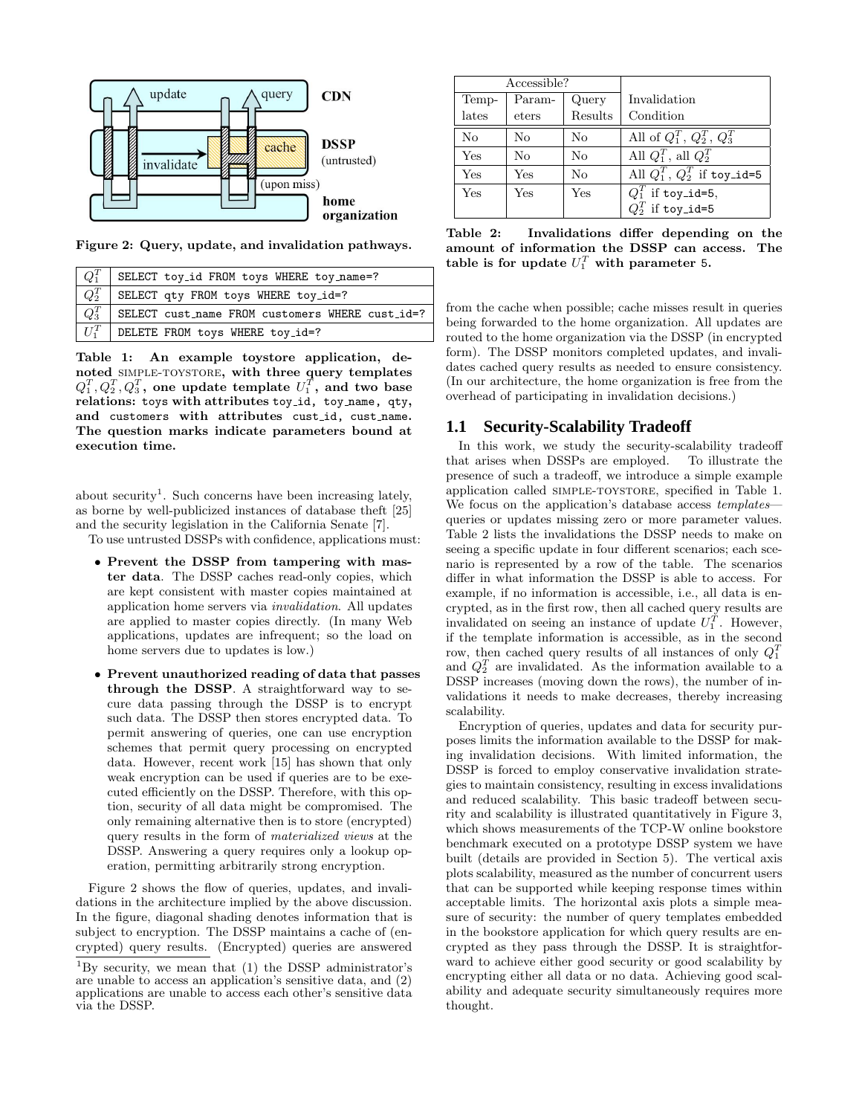

Figure 2: Query, update, and invalidation pathways.

|         | $\mid Q_1^T \mid$ SELECT toy_id FROM toys WHERE toy_name=?      |
|---------|-----------------------------------------------------------------|
| $Q_2^T$ | SELECT qty FROM toys WHERE toy_id=?                             |
|         | $\boxed{Q_3^T}$ SELECT cust_name FROM customers WHERE cust_id=? |
|         | $U_1^T$ DELETE FROM toys WHERE toy_id=?                         |

Table 1: An example toystore application, denoted simple-toystore, with three query templates  $Q_1^T,Q_2^T,Q_3^T,$  one update template  $U_1^T,$  and two base relations: toys with attributes toy id, toy name, qty, and customers with attributes cust id, cust name. The question marks indicate parameters bound at execution time.

about security<sup>1</sup>. Such concerns have been increasing lately, as borne by well-publicized instances of database theft [25] and the security legislation in the California Senate [7].

To use untrusted DSSPs with confidence, applications must:

- Prevent the DSSP from tampering with master data. The DSSP caches read-only copies, which are kept consistent with master copies maintained at application home servers via invalidation. All updates are applied to master copies directly. (In many Web applications, updates are infrequent; so the load on home servers due to updates is low.)
- Prevent unauthorized reading of data that passes through the DSSP. A straightforward way to secure data passing through the DSSP is to encrypt such data. The DSSP then stores encrypted data. To permit answering of queries, one can use encryption schemes that permit query processing on encrypted data. However, recent work [15] has shown that only weak encryption can be used if queries are to be executed efficiently on the DSSP. Therefore, with this option, security of all data might be compromised. The only remaining alternative then is to store (encrypted) query results in the form of materialized views at the DSSP. Answering a query requires only a lookup operation, permitting arbitrarily strong encryption.

Figure 2 shows the flow of queries, updates, and invalidations in the architecture implied by the above discussion. In the figure, diagonal shading denotes information that is subject to encryption. The DSSP maintains a cache of (encrypted) query results. (Encrypted) queries are answered

| Accessible? |        |         |                                    |
|-------------|--------|---------|------------------------------------|
| Temp-       | Param- | Query   | Invalidation                       |
| lates       | eters  | Results | Condition                          |
| $\rm No$    | No     | No      | All of $Q_1^T$ , $Q_2^T$ , $Q_3^T$ |
| Yes         | No     | No      | All $Q_1^T$ , all $Q_2^T$          |
| Yes         | Yes    | No      | All $Q_1^T$ , $Q_2^T$ if toy_id=5  |
| Yes         | Yes    | Yes     | $Q_1^T$ if toy_id=5,               |
|             |        |         | $Q_2^T$ if to<br>y_id=5 $\,$       |

Table 2: Invalidations differ depending on the amount of information the DSSP can access. The table is for update  $U_1^T$  with parameter 5.

from the cache when possible; cache misses result in queries being forwarded to the home organization. All updates are routed to the home organization via the DSSP (in encrypted form). The DSSP monitors completed updates, and invalidates cached query results as needed to ensure consistency. (In our architecture, the home organization is free from the overhead of participating in invalidation decisions.)

# **1.1 Security-Scalability Tradeoff**

In this work, we study the security-scalability tradeoff that arises when DSSPs are employed. To illustrate the presence of such a tradeoff, we introduce a simple example application called simple-toystore, specified in Table 1. We focus on the application's database access templates– queries or updates missing zero or more parameter values. Table 2 lists the invalidations the DSSP needs to make on seeing a specific update in four different scenarios; each scenario is represented by a row of the table. The scenarios differ in what information the DSSP is able to access. For example, if no information is accessible, i.e., all data is encrypted, as in the first row, then all cached query results are invalidated on seeing an instance of update  $U_1^T$ . However, if the template information is accessible, as in the second row, then cached query results of all instances of only  $Q_1^T$ and  $Q_2^T$  are invalidated. As the information available to a DSSP increases (moving down the rows), the number of invalidations it needs to make decreases, thereby increasing scalability.

Encryption of queries, updates and data for security purposes limits the information available to the DSSP for making invalidation decisions. With limited information, the DSSP is forced to employ conservative invalidation strategies to maintain consistency, resulting in excess invalidations and reduced scalability. This basic tradeoff between security and scalability is illustrated quantitatively in Figure 3, which shows measurements of the TCP-W online bookstore benchmark executed on a prototype DSSP system we have built (details are provided in Section 5). The vertical axis plots scalability, measured as the number of concurrent users that can be supported while keeping response times within acceptable limits. The horizontal axis plots a simple measure of security: the number of query templates embedded in the bookstore application for which query results are encrypted as they pass through the DSSP. It is straightforward to achieve either good security or good scalability by encrypting either all data or no data. Achieving good scalability and adequate security simultaneously requires more thought.

 ${}^{1}$ By security, we mean that (1) the DSSP administrator's are unable to access an application's sensitive data, and (2) applications are unable to access each other's sensitive data via the DSSP.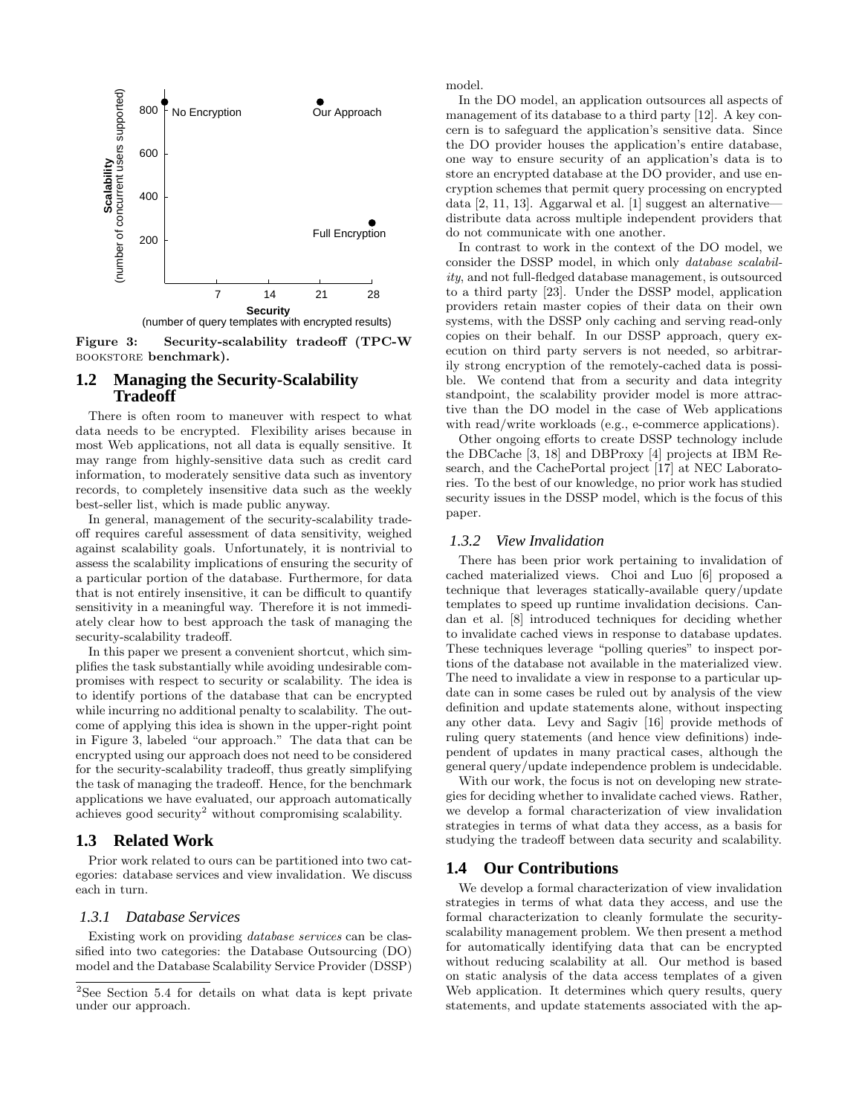

(number of query templates with encrypted results)

Figure 3: Security-scalability tradeoff (TPC-W BOOKSTORE benchmark).

### **1.2 Managing the Security-Scalability Tradeoff**

There is often room to maneuver with respect to what data needs to be encrypted. Flexibility arises because in most Web applications, not all data is equally sensitive. It may range from highly-sensitive data such as credit card information, to moderately sensitive data such as inventory records, to completely insensitive data such as the weekly best-seller list, which is made public anyway.

In general, management of the security-scalability tradeoff requires careful assessment of data sensitivity, weighed against scalability goals. Unfortunately, it is nontrivial to assess the scalability implications of ensuring the security of a particular portion of the database. Furthermore, for data that is not entirely insensitive, it can be difficult to quantify sensitivity in a meaningful way. Therefore it is not immediately clear how to best approach the task of managing the security-scalability tradeoff.

In this paper we present a convenient shortcut, which simplifies the task substantially while avoiding undesirable compromises with respect to security or scalability. The idea is to identify portions of the database that can be encrypted while incurring no additional penalty to scalability. The outcome of applying this idea is shown in the upper-right point in Figure 3, labeled "our approach." The data that can be encrypted using our approach does not need to be considered for the security-scalability tradeoff, thus greatly simplifying the task of managing the tradeoff. Hence, for the benchmark applications we have evaluated, our approach automatically achieves good security<sup>2</sup> without compromising scalability.

### **1.3 Related Work**

Prior work related to ours can be partitioned into two categories: database services and view invalidation. We discuss each in turn.

### *1.3.1 Database Services*

Existing work on providing database services can be classified into two categories: the Database Outsourcing (DO) model and the Database Scalability Service Provider (DSSP)

model.

In the DO model, an application outsources all aspects of management of its database to a third party [12]. A key concern is to safeguard the application's sensitive data. Since the DO provider houses the application's entire database, one way to ensure security of an application's data is to store an encrypted database at the DO provider, and use encryption schemes that permit query processing on encrypted data [2, 11, 13]. Aggarwal et al. [1] suggest an alternative distribute data across multiple independent providers that do not communicate with one another.

In contrast to work in the context of the DO model, we consider the DSSP model, in which only database scalability, and not full-fledged database management, is outsourced to a third party [23]. Under the DSSP model, application providers retain master copies of their data on their own systems, with the DSSP only caching and serving read-only copies on their behalf. In our DSSP approach, query execution on third party servers is not needed, so arbitrarily strong encryption of the remotely-cached data is possible. We contend that from a security and data integrity standpoint, the scalability provider model is more attractive than the DO model in the case of Web applications with read/write workloads (e.g., e-commerce applications).

Other ongoing efforts to create DSSP technology include the DBCache [3, 18] and DBProxy [4] projects at IBM Research, and the CachePortal project [17] at NEC Laboratories. To the best of our knowledge, no prior work has studied security issues in the DSSP model, which is the focus of this paper.

#### *1.3.2 View Invalidation*

There has been prior work pertaining to invalidation of cached materialized views. Choi and Luo [6] proposed a technique that leverages statically-available query/update templates to speed up runtime invalidation decisions. Candan et al. [8] introduced techniques for deciding whether to invalidate cached views in response to database updates. These techniques leverage "polling queries" to inspect portions of the database not available in the materialized view. The need to invalidate a view in response to a particular update can in some cases be ruled out by analysis of the view definition and update statements alone, without inspecting any other data. Levy and Sagiv [16] provide methods of ruling query statements (and hence view definitions) independent of updates in many practical cases, although the general query/update independence problem is undecidable.

With our work, the focus is not on developing new strategies for deciding whether to invalidate cached views. Rather, we develop a formal characterization of view invalidation strategies in terms of what data they access, as a basis for studying the tradeoff between data security and scalability.

### **1.4 Our Contributions**

We develop a formal characterization of view invalidation strategies in terms of what data they access, and use the formal characterization to cleanly formulate the securityscalability management problem. We then present a method for automatically identifying data that can be encrypted without reducing scalability at all. Our method is based on static analysis of the data access templates of a given Web application. It determines which query results, query statements, and update statements associated with the ap-

<sup>&</sup>lt;sup>2</sup>See Section 5.4 for details on what data is kept private under our approach.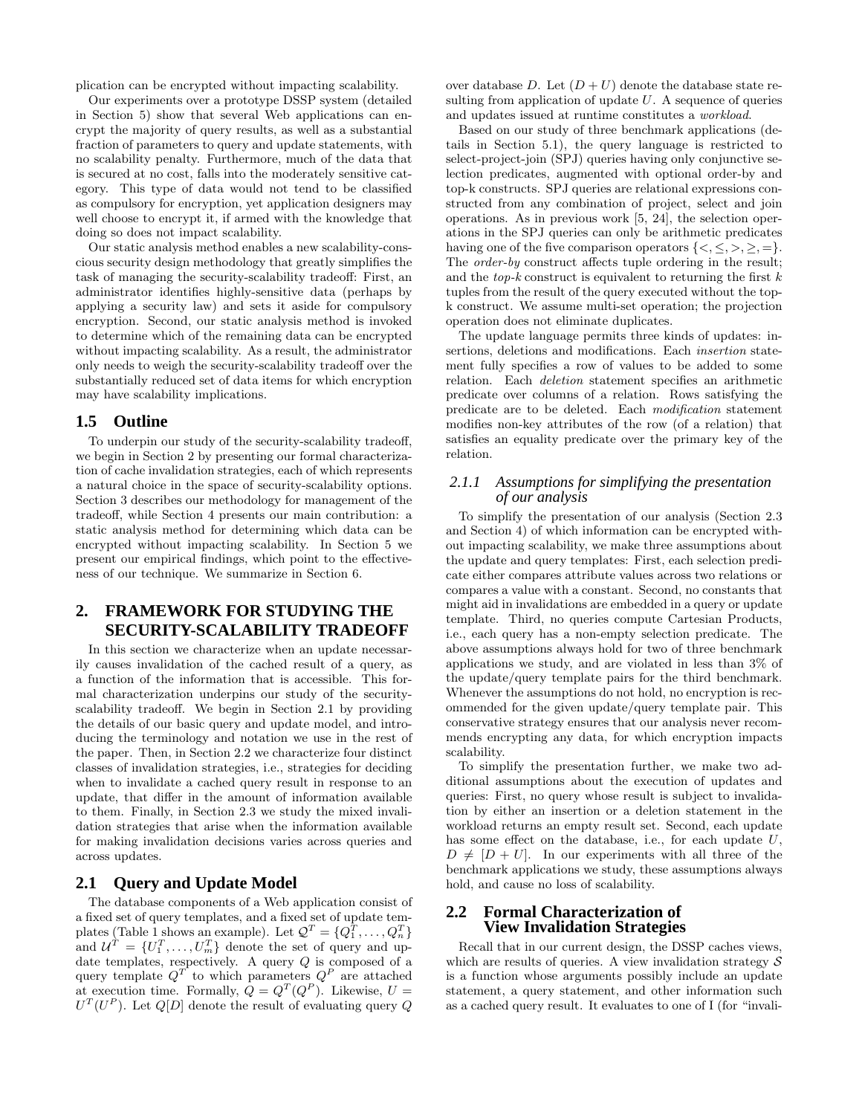plication can be encrypted without impacting scalability.

Our experiments over a prototype DSSP system (detailed in Section 5) show that several Web applications can encrypt the majority of query results, as well as a substantial fraction of parameters to query and update statements, with no scalability penalty. Furthermore, much of the data that is secured at no cost, falls into the moderately sensitive category. This type of data would not tend to be classified as compulsory for encryption, yet application designers may well choose to encrypt it, if armed with the knowledge that doing so does not impact scalability.

Our static analysis method enables a new scalability-conscious security design methodology that greatly simplifies the task of managing the security-scalability tradeoff: First, an administrator identifies highly-sensitive data (perhaps by applying a security law) and sets it aside for compulsory encryption. Second, our static analysis method is invoked to determine which of the remaining data can be encrypted without impacting scalability. As a result, the administrator only needs to weigh the security-scalability tradeoff over the substantially reduced set of data items for which encryption may have scalability implications.

#### **1.5 Outline**

To underpin our study of the security-scalability tradeoff, we begin in Section 2 by presenting our formal characterization of cache invalidation strategies, each of which represents a natural choice in the space of security-scalability options. Section 3 describes our methodology for management of the tradeoff, while Section 4 presents our main contribution: a static analysis method for determining which data can be encrypted without impacting scalability. In Section 5 we present our empirical findings, which point to the effectiveness of our technique. We summarize in Section 6.

# **2. FRAMEWORK FOR STUDYING THE SECURITY-SCALABILITY TRADEOFF**

In this section we characterize when an update necessarily causes invalidation of the cached result of a query, as a function of the information that is accessible. This formal characterization underpins our study of the securityscalability tradeoff. We begin in Section 2.1 by providing the details of our basic query and update model, and introducing the terminology and notation we use in the rest of the paper. Then, in Section 2.2 we characterize four distinct classes of invalidation strategies, i.e., strategies for deciding when to invalidate a cached query result in response to an update, that differ in the amount of information available to them. Finally, in Section 2.3 we study the mixed invalidation strategies that arise when the information available for making invalidation decisions varies across queries and across updates.

### **2.1 Query and Update Model**

The database components of a Web application consist of a fixed set of query templates, and a fixed set of update templates (Table 1 shows an example). Let  $\mathcal{Q}^T = \{Q_1^T, \ldots, Q_n^T\}$ and  $\mathcal{U}^T = \{U_1^T, \ldots, U_m^T\}$  denote the set of query and update templates, respectively. A query Q is composed of a query template  $Q^T$  to which parameters  $Q^P$  are attached at execution time. Formally,  $Q = Q^T(Q^P)$ . Likewise,  $U =$  $U<sup>T</sup>(U<sup>P</sup>)$ . Let  $Q[D]$  denote the result of evaluating query Q

over database D. Let  $(D + U)$  denote the database state resulting from application of update  $U$ . A sequence of queries and updates issued at runtime constitutes a workload.

Based on our study of three benchmark applications (details in Section 5.1), the query language is restricted to select-project-join (SPJ) queries having only conjunctive selection predicates, augmented with optional order-by and top-k constructs. SPJ queries are relational expressions constructed from any combination of project, select and join operations. As in previous work [5, 24], the selection operations in the SPJ queries can only be arithmetic predicates having one of the five comparison operators  $\{<,\leq,>,\geq,=\}.$ The *order-by* construct affects tuple ordering in the result; and the  $top-k$  construct is equivalent to returning the first  $k$ tuples from the result of the query executed without the topk construct. We assume multi-set operation; the projection operation does not eliminate duplicates.

The update language permits three kinds of updates: insertions, deletions and modifications. Each insertion statement fully specifies a row of values to be added to some relation. Each deletion statement specifies an arithmetic predicate over columns of a relation. Rows satisfying the predicate are to be deleted. Each modification statement modifies non-key attributes of the row (of a relation) that satisfies an equality predicate over the primary key of the relation.

### *2.1.1 Assumptions for simplifying the presentation of our analysis*

To simplify the presentation of our analysis (Section 2.3 and Section 4) of which information can be encrypted without impacting scalability, we make three assumptions about the update and query templates: First, each selection predicate either compares attribute values across two relations or compares a value with a constant. Second, no constants that might aid in invalidations are embedded in a query or update template. Third, no queries compute Cartesian Products, i.e., each query has a non-empty selection predicate. The above assumptions always hold for two of three benchmark applications we study, and are violated in less than 3% of the update/query template pairs for the third benchmark. Whenever the assumptions do not hold, no encryption is recommended for the given update/query template pair. This conservative strategy ensures that our analysis never recommends encrypting any data, for which encryption impacts scalability.

To simplify the presentation further, we make two additional assumptions about the execution of updates and queries: First, no query whose result is subject to invalidation by either an insertion or a deletion statement in the workload returns an empty result set. Second, each update has some effect on the database, i.e., for each update  $U$ ,  $D \neq [D + U]$ . In our experiments with all three of the benchmark applications we study, these assumptions always hold, and cause no loss of scalability.

### **2.2 Formal Characterization of View Invalidation Strategies**

Recall that in our current design, the DSSP caches views, which are results of queries. A view invalidation strategy  $S$ is a function whose arguments possibly include an update statement, a query statement, and other information such as a cached query result. It evaluates to one of I (for "invali-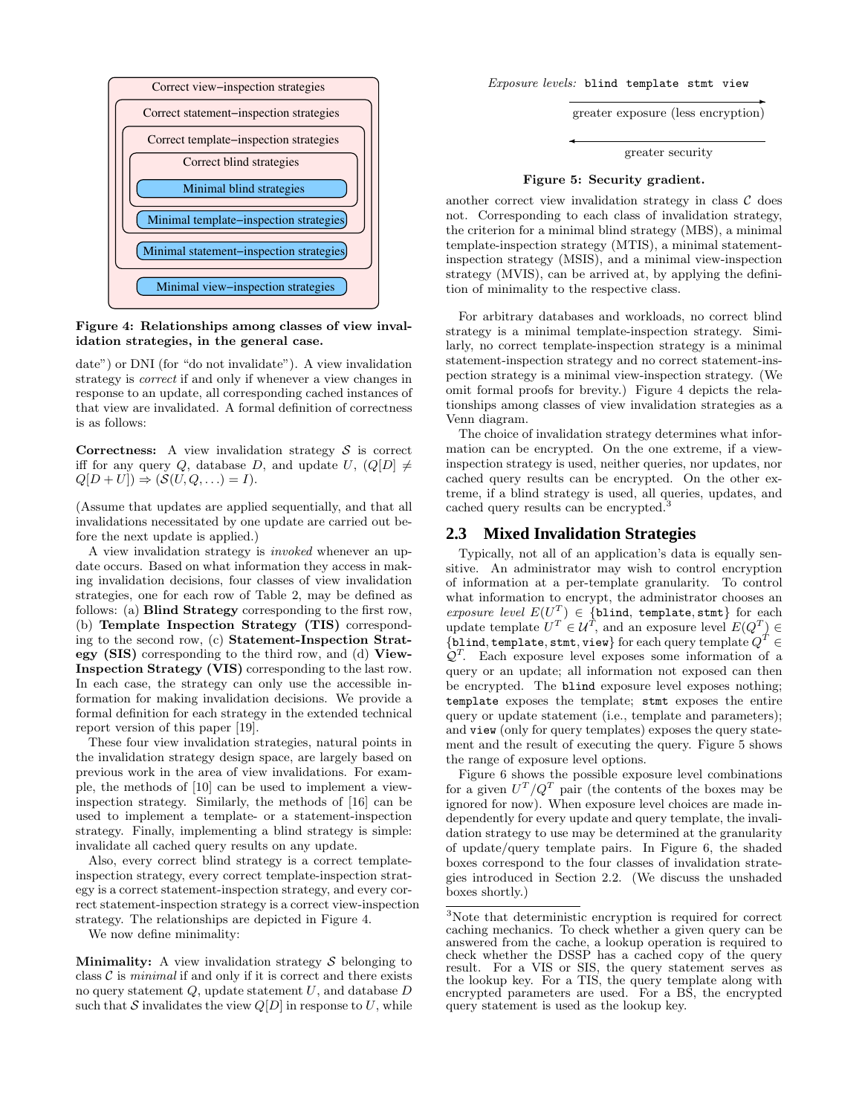

Figure 4: Relationships among classes of view invalidation strategies, in the general case.

date") or DNI (for "do not invalidate"). A view invalidation strategy is correct if and only if whenever a view changes in response to an update, all corresponding cached instances of that view are invalidated. A formal definition of correctness is as follows:

Correctness: A view invalidation strategy  $S$  is correct iff for any query Q, database D, and update U,  $(Q[D]) \neq$  $Q[D+U]) \Rightarrow (\mathcal{S}(U,Q,\ldots) = I).$ 

(Assume that updates are applied sequentially, and that all invalidations necessitated by one update are carried out before the next update is applied.)

A view invalidation strategy is invoked whenever an update occurs. Based on what information they access in making invalidation decisions, four classes of view invalidation strategies, one for each row of Table 2, may be defined as follows: (a) Blind Strategy corresponding to the first row, (b) Template Inspection Strategy (TIS) corresponding to the second row, (c) Statement-Inspection Strategy (SIS) corresponding to the third row, and (d) View-Inspection Strategy (VIS) corresponding to the last row. In each case, the strategy can only use the accessible information for making invalidation decisions. We provide a formal definition for each strategy in the extended technical report version of this paper [19].

These four view invalidation strategies, natural points in the invalidation strategy design space, are largely based on previous work in the area of view invalidations. For example, the methods of [10] can be used to implement a viewinspection strategy. Similarly, the methods of [16] can be used to implement a template- or a statement-inspection strategy. Finally, implementing a blind strategy is simple: invalidate all cached query results on any update.

Also, every correct blind strategy is a correct templateinspection strategy, every correct template-inspection strategy is a correct statement-inspection strategy, and every correct statement-inspection strategy is a correct view-inspection strategy. The relationships are depicted in Figure 4.

We now define minimality:

**Minimality:** A view invalidation strategy  $S$  belonging to class  $\mathcal C$  is *minimal* if and only if it is correct and there exists no query statement  $Q$ , update statement  $U$ , and database  $D$ such that S invalidates the view  $Q[D]$  in response to U, while Exposure levels: blind template stmt view

✲ greater exposure (less encryption)

greater security

#### Figure 5: Security gradient.

✛

another correct view invalidation strategy in class  $\mathcal C$  does not. Corresponding to each class of invalidation strategy, the criterion for a minimal blind strategy (MBS), a minimal template-inspection strategy (MTIS), a minimal statementinspection strategy (MSIS), and a minimal view-inspection strategy (MVIS), can be arrived at, by applying the definition of minimality to the respective class.

For arbitrary databases and workloads, no correct blind strategy is a minimal template-inspection strategy. Similarly, no correct template-inspection strategy is a minimal statement-inspection strategy and no correct statement-inspection strategy is a minimal view-inspection strategy. (We omit formal proofs for brevity.) Figure 4 depicts the relationships among classes of view invalidation strategies as a Venn diagram.

The choice of invalidation strategy determines what information can be encrypted. On the one extreme, if a viewinspection strategy is used, neither queries, nor updates, nor cached query results can be encrypted. On the other extreme, if a blind strategy is used, all queries, updates, and cached query results can be encrypted.<sup>3</sup>

### **2.3 Mixed Invalidation Strategies**

Typically, not all of an application's data is equally sensitive. An administrator may wish to control encryption of information at a per-template granularity. To control what information to encrypt, the administrator chooses an exposure level  $E(U^T) \in \{\text{blind}, \text{ template}, \text{stmt}\}\$  for each update template  $U^T \in \mathcal{U}^T$ , and an exposure level  $E(Q^T) \in$ {blind, template, stmt, view} for each query template  $Q^T \in$  $Q<sup>T</sup>$ . Each exposure level exposes some information of a query or an update; all information not exposed can then be encrypted. The blind exposure level exposes nothing; template exposes the template; stmt exposes the entire query or update statement (i.e., template and parameters); and view (only for query templates) exposes the query statement and the result of executing the query. Figure 5 shows the range of exposure level options.

Figure 6 shows the possible exposure level combinations for a given  $U^T/Q^T$  pair (the contents of the boxes may be ignored for now). When exposure level choices are made independently for every update and query template, the invalidation strategy to use may be determined at the granularity of update/query template pairs. In Figure 6, the shaded boxes correspond to the four classes of invalidation strategies introduced in Section 2.2. (We discuss the unshaded boxes shortly.)

<sup>3</sup>Note that deterministic encryption is required for correct caching mechanics. To check whether a given query can be answered from the cache, a lookup operation is required to check whether the DSSP has a cached copy of the query result. For a VIS or SIS, the query statement serves as the lookup key. For a TIS, the query template along with encrypted parameters are used. For a BS, the encrypted query statement is used as the lookup key.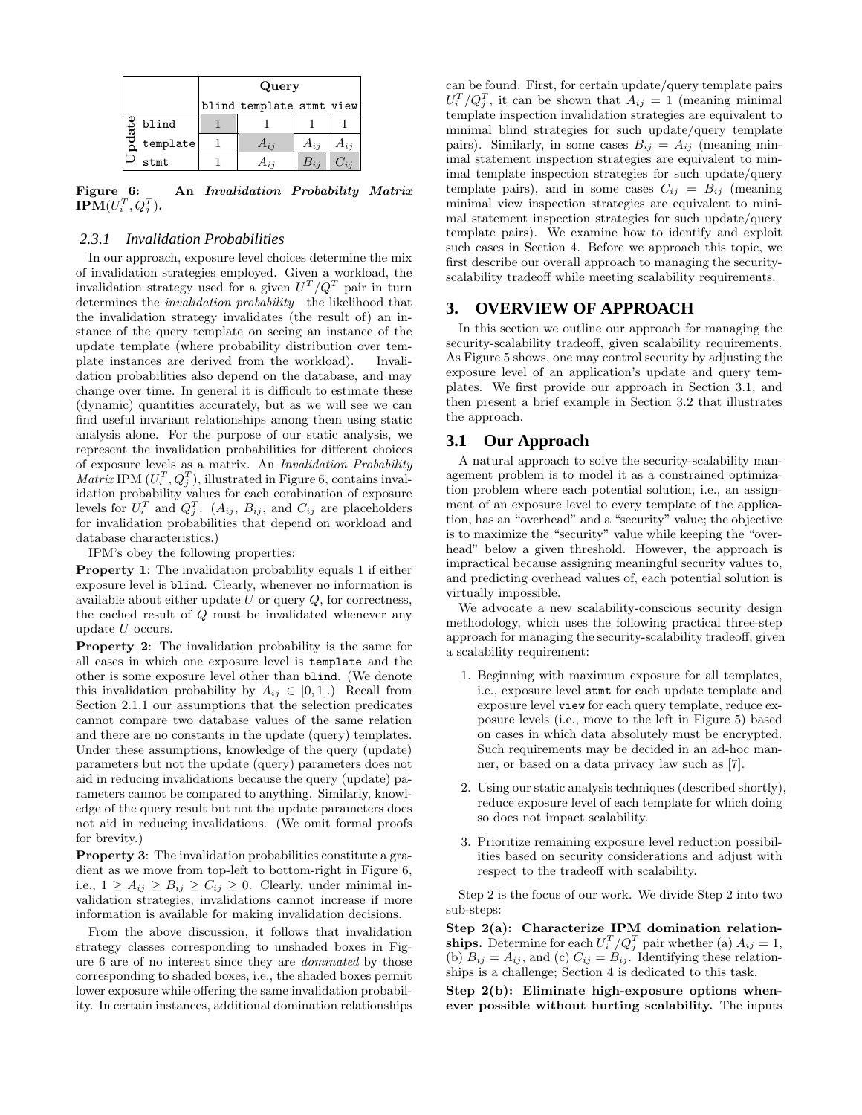|                          |          | Query |          |          |             |  |
|--------------------------|----------|-------|----------|----------|-------------|--|
| blind template stmt view |          |       |          |          |             |  |
|                          | blind    |       |          |          |             |  |
|                          | template |       | $A_{ij}$ | $A_{ij}$ | $A_{ij}$    |  |
|                          | stmt     |       |          | $B_{ij}$ | $\cup_{ij}$ |  |

Figure 6: An Invalidation Probability Matrix  $\mathbf{IPM}(U_i^T,Q_j^T).$ 

### *2.3.1 Invalidation Probabilities*

In our approach, exposure level choices determine the mix of invalidation strategies employed. Given a workload, the invalidation strategy used for a given  $U^T/Q^T$  pair in turn determines the invalidation probability—the likelihood that the invalidation strategy invalidates (the result of) an instance of the query template on seeing an instance of the update template (where probability distribution over template instances are derived from the workload). Invalidation probabilities also depend on the database, and may change over time. In general it is difficult to estimate these (dynamic) quantities accurately, but as we will see we can find useful invariant relationships among them using static analysis alone. For the purpose of our static analysis, we represent the invalidation probabilities for different choices of exposure levels as a matrix. An Invalidation Probability *Matrix* IPM  $(U_i^T, Q_j^T)$ , illustrated in Figure 6, contains invalidation probability values for each combination of exposure levels for  $U_i^T$  and  $Q_j^T$ .  $(A_{ij}, B_{ij},$  and  $C_{ij}$  are placeholders for invalidation probabilities that depend on workload and database characteristics.)

IPM's obey the following properties:

Property 1: The invalidation probability equals 1 if either exposure level is blind. Clearly, whenever no information is available about either update  $U$  or query  $Q$ , for correctness, the cached result of Q must be invalidated whenever any update U occurs.

Property 2: The invalidation probability is the same for all cases in which one exposure level is template and the other is some exposure level other than blind. (We denote this invalidation probability by  $A_{ij} \in [0,1]$ .) Recall from Section 2.1.1 our assumptions that the selection predicates cannot compare two database values of the same relation and there are no constants in the update (query) templates. Under these assumptions, knowledge of the query (update) parameters but not the update (query) parameters does not aid in reducing invalidations because the query (update) parameters cannot be compared to anything. Similarly, knowledge of the query result but not the update parameters does not aid in reducing invalidations. (We omit formal proofs for brevity.)

Property 3: The invalidation probabilities constitute a gradient as we move from top-left to bottom-right in Figure 6, i.e.,  $1 \geq A_{ij} \geq B_{ij} \geq C_{ij} \geq 0$ . Clearly, under minimal invalidation strategies, invalidations cannot increase if more information is available for making invalidation decisions.

From the above discussion, it follows that invalidation strategy classes corresponding to unshaded boxes in Figure 6 are of no interest since they are dominated by those corresponding to shaded boxes, i.e., the shaded boxes permit lower exposure while offering the same invalidation probability. In certain instances, additional domination relationships can be found. First, for certain update/query template pairs  $U_i^T/Q_j^T$ , it can be shown that  $A_{ij} = 1$  (meaning minimal template inspection invalidation strategies are equivalent to minimal blind strategies for such update/query template pairs). Similarly, in some cases  $B_{ij} = A_{ij}$  (meaning minimal statement inspection strategies are equivalent to minimal template inspection strategies for such update/query template pairs), and in some cases  $C_{ij} = B_{ij}$  (meaning minimal view inspection strategies are equivalent to minimal statement inspection strategies for such update/query template pairs). We examine how to identify and exploit such cases in Section 4. Before we approach this topic, we first describe our overall approach to managing the securityscalability tradeoff while meeting scalability requirements.

# **3. OVERVIEW OF APPROACH**

In this section we outline our approach for managing the security-scalability tradeoff, given scalability requirements. As Figure 5 shows, one may control security by adjusting the exposure level of an application's update and query templates. We first provide our approach in Section 3.1, and then present a brief example in Section 3.2 that illustrates the approach.

### **3.1 Our Approach**

A natural approach to solve the security-scalability management problem is to model it as a constrained optimization problem where each potential solution, i.e., an assignment of an exposure level to every template of the application, has an "overhead" and a "security" value; the objective is to maximize the "security" value while keeping the "overhead" below a given threshold. However, the approach is impractical because assigning meaningful security values to, and predicting overhead values of, each potential solution is virtually impossible.

We advocate a new scalability-conscious security design methodology, which uses the following practical three-step approach for managing the security-scalability tradeoff, given a scalability requirement:

- 1. Beginning with maximum exposure for all templates, i.e., exposure level stmt for each update template and exposure level view for each query template, reduce exposure levels (i.e., move to the left in Figure 5) based on cases in which data absolutely must be encrypted. Such requirements may be decided in an ad-hoc manner, or based on a data privacy law such as [7].
- 2. Using our static analysis techniques (described shortly), reduce exposure level of each template for which doing so does not impact scalability.
- 3. Prioritize remaining exposure level reduction possibilities based on security considerations and adjust with respect to the tradeoff with scalability.

Step 2 is the focus of our work. We divide Step 2 into two sub-steps:

Step 2(a): Characterize IPM domination relationships. Determine for each  $U_i^T/Q_j^T$  pair whether (a)  $A_{ij} = 1$ , (b)  $B_{ij} = A_{ij}$ , and (c)  $C_{ij} = B_{ij}$ . Identifying these relationships is a challenge; Section 4 is dedicated to this task.

Step 2(b): Eliminate high-exposure options whenever possible without hurting scalability. The inputs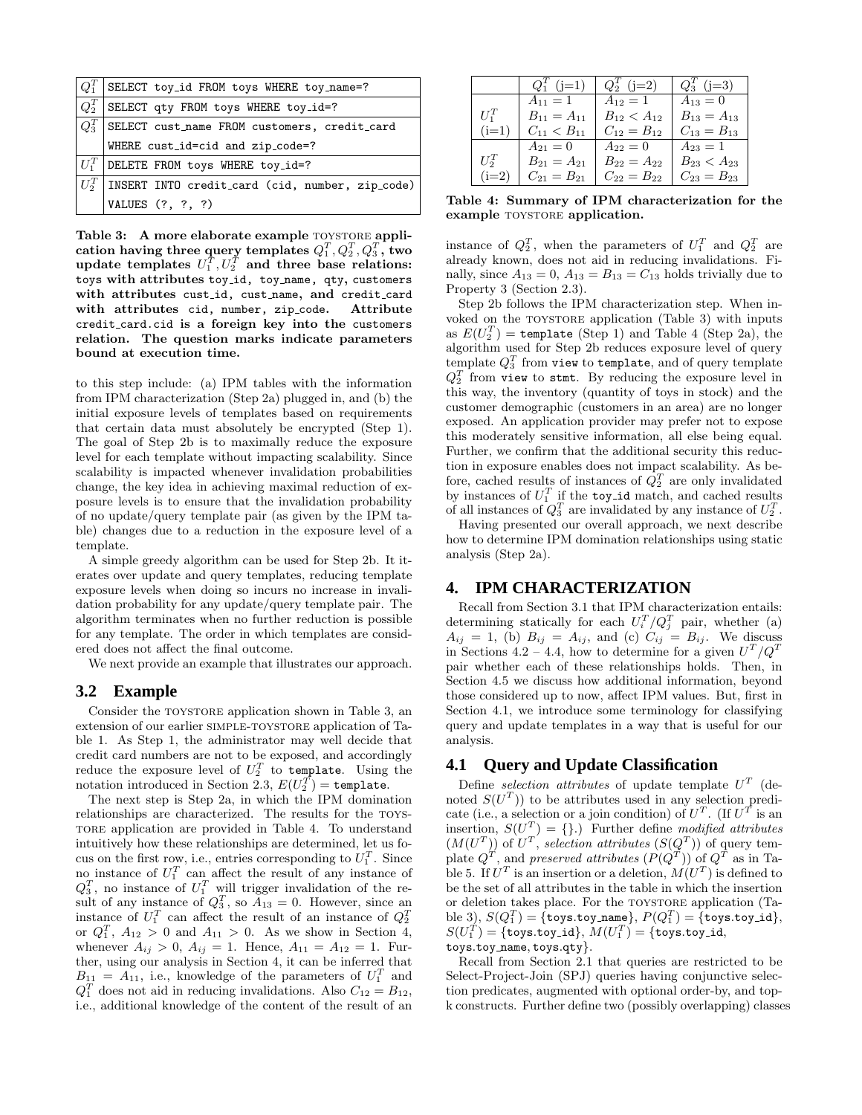| $Q_1^T$ | SELECT toy_id FROM toys WHERE toy_name=?                                |  |  |  |  |
|---------|-------------------------------------------------------------------------|--|--|--|--|
| $Q_2^T$ | SELECT qty FROM toys WHERE toy_id=?                                     |  |  |  |  |
|         | $ Q_3^T $ SELECT cust name FROM customers, credit card                  |  |  |  |  |
|         | WHERE cust_id=cid and zip_code=?                                        |  |  |  |  |
|         | $ U_1^T $ DELETE FROM toys WHERE toy_id=?                               |  |  |  |  |
|         | $\lfloor U_2^T \rfloor$ INSERT INTO credit_card (cid, number, zip_code) |  |  |  |  |
|         | VALUES $(?, ?, ?)$                                                      |  |  |  |  |

Table 3: A more elaborate example TOYSTORE application having three query templates  $Q_1^T,Q_2^T,Q_3^T,$  two update templates  $U_1^T, U_2^T$  and three base relations: toys with attributes toy id, toy name, qty, customers with attributes cust id, cust name, and credit card with attributes cid, number, zip code. Attribute credit card.cid is a foreign key into the customers relation. The question marks indicate parameters bound at execution time.

to this step include: (a) IPM tables with the information from IPM characterization (Step 2a) plugged in, and (b) the initial exposure levels of templates based on requirements that certain data must absolutely be encrypted (Step 1). The goal of Step 2b is to maximally reduce the exposure level for each template without impacting scalability. Since scalability is impacted whenever invalidation probabilities change, the key idea in achieving maximal reduction of exposure levels is to ensure that the invalidation probability of no update/query template pair (as given by the IPM table) changes due to a reduction in the exposure level of a template.

A simple greedy algorithm can be used for Step 2b. It iterates over update and query templates, reducing template exposure levels when doing so incurs no increase in invalidation probability for any update/query template pair. The algorithm terminates when no further reduction is possible for any template. The order in which templates are considered does not affect the final outcome.

We next provide an example that illustrates our approach.

### **3.2 Example**

Consider the TOYSTORE application shown in Table 3, an extension of our earlier simple-toystore application of Table 1. As Step 1, the administrator may well decide that credit card numbers are not to be exposed, and accordingly reduce the exposure level of  $U_2^T$  to template. Using the notation introduced in Section 2.3,  $E(U_2^T) = \texttt{template}.$ 

The next step is Step 2a, in which the IPM domination relationships are characterized. The results for the TOYStore application are provided in Table 4. To understand intuitively how these relationships are determined, let us focus on the first row, i.e., entries corresponding to  $U_1^T$ . Since no instance of  $U_1^T$  can affect the result of any instance of  $Q_3^T$ , no instance of  $U_1^T$  will trigger invalidation of the result of any instance of  $Q_3^T$ , so  $A_{13} = 0$ . However, since an instance of  $U_1^T$  can affect the result of an instance of  $Q_2^T$ or  $Q_1^T$ ,  $A_{12} > 0$  and  $A_{11} > 0$ . As we show in Section 4, whenever  $A_{ij} > 0$ ,  $A_{ij} = 1$ . Hence,  $A_{11} = A_{12} = 1$ . Further, using our analysis in Section 4, it can be inferred that  $B_{11} = A_{11}$ , i.e., knowledge of the parameters of  $U_1^T$  and  $Q_1^T$  does not aid in reducing invalidations. Also  $C_{12} = B_{12}$ , i.e., additional knowledge of the content of the result of an

|         |                   | $Q_1^T$ (j=1) $Q_2^T$ (j=2) | $Q_3^T$ (j=3)     |
|---------|-------------------|-----------------------------|-------------------|
|         | $A_{11} = 1$      | $A_{12}=1$                  | $A_{13}=0$        |
| $U^T$   | $B_{11} = A_{11}$ | $B_{12} < A_{12}$           | $B_{13}=A_{13}$   |
| $(i=1)$ | $C_{11} < B_{11}$ | $C_{12} = B_{12}$           | $C_{13}=B_{13}$   |
|         | $A_{21} = 0$      | $A_{22}=0$                  | $A_{23} = 1$      |
| $U_2^T$ | $B_{21} = A_{21}$ | $B_{22}=A_{22}$             | $B_{23} < A_{23}$ |
| $(i=2$  | $C_{21} = B_{21}$ | $C_{22} = B_{22}$           | $C_{23}=B_{23}$   |

Table 4: Summary of IPM characterization for the example TOYSTORE application.

instance of  $Q_2^T$ , when the parameters of  $U_1^T$  and  $Q_2^T$  are already known, does not aid in reducing invalidations. Finally, since  $A_{13} = 0$ ,  $A_{13} = B_{13} = C_{13}$  holds trivially due to Property 3 (Section 2.3).

Step 2b follows the IPM characterization step. When invoked on the toystore application (Table 3) with inputs as  $E(U_2^T)$  = template (Step 1) and Table 4 (Step 2a), the algorithm used for Step 2b reduces exposure level of query  $\mathrm{template}\ Q_3^T$  from  $\texttt{view}$  to  $\texttt{template},$  and of  $\mathrm{query}\ t\mathrm{template}$  $Q_2^T$  from view to stmt. By reducing the exposure level in this way, the inventory (quantity of toys in stock) and the customer demographic (customers in an area) are no longer exposed. An application provider may prefer not to expose this moderately sensitive information, all else being equal. Further, we confirm that the additional security this reduction in exposure enables does not impact scalability. As before, cached results of instances of  $Q_2^T$  are only invalidated by instances of  $U_1^T$  if the toy id match, and cached results of all instances of  $Q_3^T$  are invalidated by any instance of  $U_2^T$ .

Having presented our overall approach, we next describe how to determine IPM domination relationships using static analysis (Step 2a).

# **4. IPM CHARACTERIZATION**

Recall from Section 3.1 that IPM characterization entails: determining statically for each  $U_i^T/Q_j^T$  pair, whether (a)  $A_{ij} = 1$ , (b)  $B_{ij} = A_{ij}$ , and (c)  $C_{ij} = B_{ij}$ . We discuss in Sections 4.2 – 4.4, how to determine for a given  $U^T/Q^T$ pair whether each of these relationships holds. Then, in Section 4.5 we discuss how additional information, beyond those considered up to now, affect IPM values. But, first in Section 4.1, we introduce some terminology for classifying query and update templates in a way that is useful for our analysis.

### **4.1 Query and Update Classification**

Define selection attributes of update template  $U^T$  (denoted  $S(U<sup>T</sup>)$  to be attributes used in any selection predicate (i.e., a selection or a join condition) of  $U^T$ . (If  $U^T$  is an insertion,  $S(U^T) = \{\}.$  Further define modified attributes  $(M(U<sup>T</sup>))$  of  $U<sup>T</sup>$ , selection attributes  $(S(Q<sup>T</sup>))$  of query template  $Q^T$ , and preserved attributes  $(P(Q^T))$  of  $Q^T$  as in Table 5. If  $U^T$  is an insertion or a deletion,  $M(U^T)$  is defined to be the set of all attributes in the table in which the insertion or deletion takes place. For the toystore application (Table 3),  $S(Q_1^T) = \{\texttt{toys.toy_name}\}, P(Q_1^T) = \{\texttt{toys.toy_id}\},$  $S(U_1^T) = \{ \texttt{toys.toy_id} \}, \, M(U_1^T) = \{ \texttt{toys.toy_id},$ toys.toy name, toys.qty}.

Recall from Section 2.1 that queries are restricted to be Select-Project-Join (SPJ) queries having conjunctive selection predicates, augmented with optional order-by, and topk constructs. Further define two (possibly overlapping) classes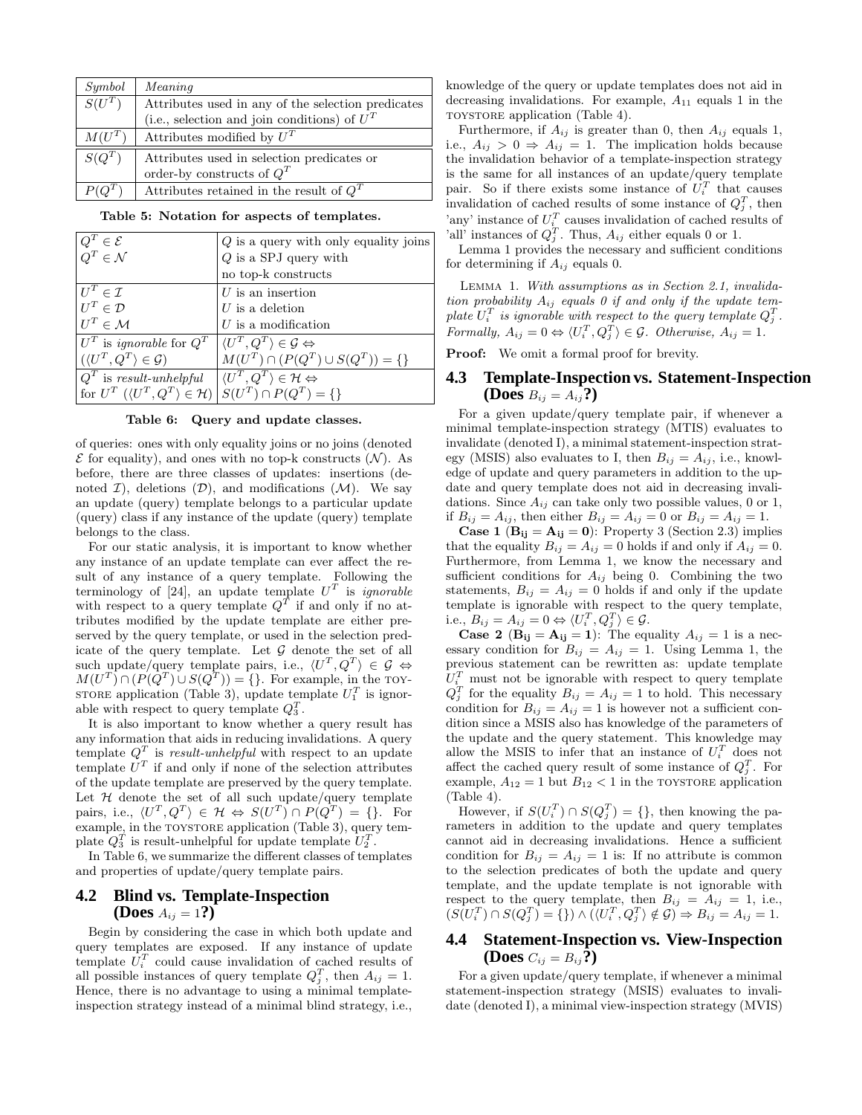| Sumbol   | Meaning                                                                                                    |
|----------|------------------------------------------------------------------------------------------------------------|
| $S(U^T)$ | Attributes used in any of the selection predicates<br>(i.e., selection and join conditions) of $\bar{U}^T$ |
| $M(U^T)$ | Attributes modified by $U^T$                                                                               |
| $S(Q^T)$ | Attributes used in selection predicates or<br>order-by constructs of $Q^T$                                 |
|          | Attributes retained in the result of $QT$                                                                  |

Table 5: Notation for aspects of templates.

| $\mathbf{f}^T \in \mathcal{E}$                                                       | $Q$ is a query with only equality joins                    |
|--------------------------------------------------------------------------------------|------------------------------------------------------------|
| $Q^T \in \mathcal{N}$                                                                | $Q$ is a SPJ query with                                    |
|                                                                                      | no top-k constructs                                        |
| $U^T \in \mathcal{T}$                                                                | $U$ is an insertion                                        |
| $U^T \in \mathcal{D}$                                                                | $U$ is a deletion                                          |
| $U^T \in \mathcal{M}$                                                                | $U$ is a modification                                      |
| $U^T$ is <i>ignorable</i> for $Q^T$                                                  | $\langle U^T, Q^T \rangle \in \mathcal{G} \Leftrightarrow$ |
| $(\langle U^T, Q^T \rangle \in \mathcal{G})$                                         | $M(UT) \cap (P(QT) \cup S(QT)) = \{\}$                     |
| $Q^T$ is result-unhelpful $\langle U^T, Q^T \rangle \in \mathcal{H} \Leftrightarrow$ |                                                            |
| for $U^T$ $(\langle U^T, Q^T \rangle \in \mathcal{H})$ $S(U^T) \cap P(Q^T) = \{\}$   |                                                            |

Table 6: Query and update classes.

of queries: ones with only equality joins or no joins (denoted  $\mathcal E$  for equality), and ones with no top-k constructs  $(\mathcal N)$ . As before, there are three classes of updates: insertions (denoted  $\mathcal{I}$ ), deletions  $(\mathcal{D})$ , and modifications  $(\mathcal{M})$ . We say an update (query) template belongs to a particular update (query) class if any instance of the update (query) template belongs to the class.

For our static analysis, it is important to know whether any instance of an update template can ever affect the result of any instance of a query template. Following the terminology of [24], an update template  $U<sup>T</sup>$  is *ignorable* with respect to a query template  $Q<sup>T</sup>$  if and only if no attributes modified by the update template are either preserved by the query template, or used in the selection predicate of the query template. Let  $\mathcal G$  denote the set of all such update/query template pairs, i.e.,  $\langle U^T, Q^T \rangle \in \mathcal{G} \Leftrightarrow$  $M(U^T) \cap (P(Q^T) \cup S(Q^T)) = \{\}.$  For example, in the TOY-STORE application (Table 3), update template  $U_1^T$  is ignorable with respect to query template  $Q_3^T$ .

It is also important to know whether a query result has any information that aids in reducing invalidations. A query template  $Q<sup>T</sup>$  is result-unhelpful with respect to an update template  $U^T$  if and only if none of the selection attributes of the update template are preserved by the query template. Let  $H$  denote the set of all such update/query template pairs, i.e.,  $\langle U^T, Q^T \rangle \in \mathcal{H} \Leftrightarrow S(U^T) \cap P(Q^T) = \{\}.$  For example, in the TOYSTORE application (Table 3), query template  $Q_3^T$  is result-unhelpful for update template  $U_2^T$ .

In Table 6, we summarize the different classes of templates and properties of update/query template pairs.

## **4.2 Blind vs. Template-Inspection (Does**  $A_{ij} = 1$ **?)**

Begin by considering the case in which both update and query templates are exposed. If any instance of update template  $U_i^T$  could cause invalidation of cached results of all possible instances of query template  $Q_j^T$ , then  $A_{ij} = 1$ . Hence, there is no advantage to using a minimal templateinspection strategy instead of a minimal blind strategy, i.e., knowledge of the query or update templates does not aid in decreasing invalidations. For example,  $A_{11}$  equals 1 in the toystore application (Table 4).

Furthermore, if  $A_{ij}$  is greater than 0, then  $A_{ij}$  equals 1, i.e.,  $A_{ij} > 0 \Rightarrow A_{ij} = 1$ . The implication holds because the invalidation behavior of a template-inspection strategy is the same for all instances of an update/query template pair. So if there exists some instance of  $U_i^T$  that causes invalidation of cached results of some instance of  $Q_j^T$ , then 'any' instance of  $U_i^T$  causes invalidation of cached results of 'all' instances of  $Q_j^T$ . Thus,  $A_{ij}$  either equals 0 or 1.

Lemma 1 provides the necessary and sufficient conditions for determining if  $A_{ij}$  equals 0.

Lemma 1. With assumptions as in Section 2.1, invalidation probability  $A_{ij}$  equals 0 if and only if the update template  $U_i^T$  is ignorable with respect to the query template  $Q_j^T$ . Formally,  $A_{ij} = 0 \Leftrightarrow \langle U_i^T, Q_j^T \rangle \in \mathcal{G}$ . Otherwise,  $A_{ij} = 1$ .

Proof: We omit a formal proof for brevity.

# **4.3 Template-Inspection vs. Statement-Inspection (Does**  $B_{ij} = A_{ij}^{\ \ T}$ ?)

For a given update/query template pair, if whenever a minimal template-inspection strategy (MTIS) evaluates to invalidate (denoted I), a minimal statement-inspection strategy (MSIS) also evaluates to I, then  $B_{ij} = A_{ij}$ , i.e., knowledge of update and query parameters in addition to the update and query template does not aid in decreasing invalidations. Since  $A_{ij}$  can take only two possible values, 0 or 1, if  $B_{ij} = A_{ij}$ , then either  $B_{ij} = A_{ij} = 0$  or  $B_{ij} = A_{ij} = 1$ .

**Case 1** ( $B_{ij} = A_{ij} = 0$ ): Property 3 (Section 2.3) implies that the equality  $B_{ij} = A_{ij} = 0$  holds if and only if  $A_{ij} = 0$ . Furthermore, from Lemma 1, we know the necessary and sufficient conditions for  $A_{ij}$  being 0. Combining the two statements,  $B_{ij} = A_{ij} = 0$  holds if and only if the update template is ignorable with respect to the query template, i.e.,  $B_{ij} = A_{ij} = 0 \Leftrightarrow \langle U_i^T, Q_j^T \rangle \in \mathcal{G}$ .

**Case 2** ( $\mathbf{B}_{ij} = \mathbf{A}_{ij} = 1$ ): The equality  $A_{ij} = 1$  is a necessary condition for  $B_{ij} = A_{ij} = 1$ . Using Lemma 1, the previous statement can be rewritten as: update template  $U_i^T$  must not be ignorable with respect to query template  $Q_j^T$  for the equality  $B_{ij} = A_{ij} = 1$  to hold. This necessary condition for  $B_{ij} = A_{ij} = 1$  is however not a sufficient condition since a MSIS also has knowledge of the parameters of the update and the query statement. This knowledge may allow the MSIS to infer that an instance of  $U_i^T$  does not affect the cached query result of some instance of  $Q_j^T$ . For example,  $A_{12} = 1$  but  $B_{12} < 1$  in the TOYSTORE application (Table 4).

However, if  $S(U_i^T) \cap S(Q_j^T) = \{\}$ , then knowing the parameters in addition to the update and query templates cannot aid in decreasing invalidations. Hence a sufficient condition for  $B_{ij} = A_{ij} = 1$  is: If no attribute is common to the selection predicates of both the update and query template, and the update template is not ignorable with respect to the query template, then  $B_{ij} = A_{ij} = 1$ , i.e.,  $(S(U_i^T) \cap S(Q_j^T) = \{\}) \wedge (\langle U_i^T, Q_j^T \rangle \notin \mathcal{G}) \Rightarrow B_{ij} = A_{ij} = 1.$ 

# **4.4 Statement-Inspection vs. View-Inspection (Does**  $C_{ij} = B_{ij}$ ?)

For a given update/query template, if whenever a minimal statement-inspection strategy (MSIS) evaluates to invalidate (denoted I), a minimal view-inspection strategy (MVIS)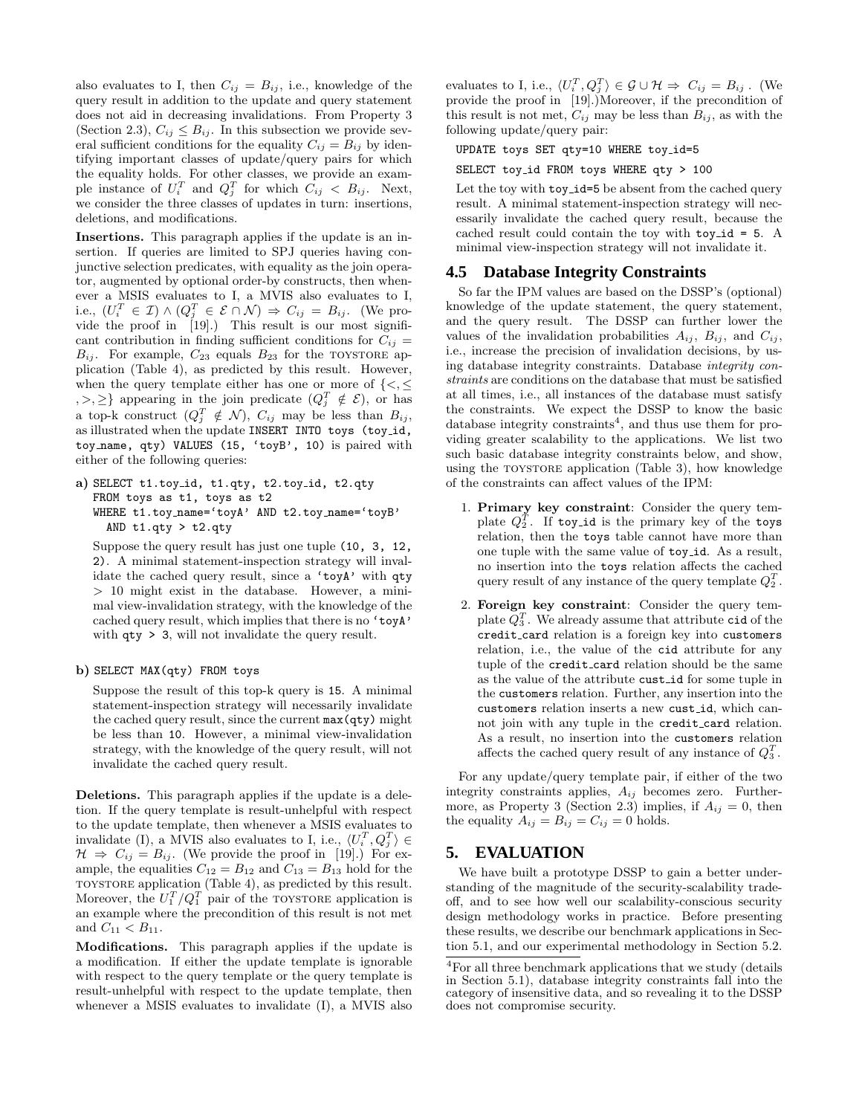also evaluates to I, then  $C_{ij} = B_{ij}$ , i.e., knowledge of the query result in addition to the update and query statement does not aid in decreasing invalidations. From Property 3 (Section 2.3),  $C_{ij} \leq B_{ij}$ . In this subsection we provide several sufficient conditions for the equality  $C_{ij} = B_{ij}$  by identifying important classes of update/query pairs for which the equality holds. For other classes, we provide an example instance of  $U_i^T$  and  $Q_j^T$  for which  $C_{ij}$  <  $B_{ij}$ . Next, we consider the three classes of updates in turn: insertions, deletions, and modifications.

Insertions. This paragraph applies if the update is an insertion. If queries are limited to SPJ queries having conjunctive selection predicates, with equality as the join operator, augmented by optional order-by constructs, then whenever a MSIS evaluates to I, a MVIS also evaluates to I, i.e.,  $(U_i^T \in \mathcal{I}) \wedge (Q_j^T \in \mathcal{E} \cap \mathcal{N}) \Rightarrow C_{ij} = B_{ij}$ . (We provide the proof in [19].) This result is our most significant contribution in finding sufficient conditions for  $C_{ij}$  =  $B_{ij}$ . For example,  $C_{23}$  equals  $B_{23}$  for the TOYSTORE application (Table 4), as predicted by this result. However, when the query template either has one or more of  $\{\leq,\leq\}$  $\{S, S, \geq\}$  appearing in the join predicate  $(Q_j^T \notin \mathcal{E})$ , or has a top-k construct  $(Q_j^T \notin \mathcal{N})$ ,  $C_{ij}$  may be less than  $B_{ij}$ , as illustrated when the update INSERT INTO toys (toy id, toy name, qty) VALUES (15, 'toyB', 10) is paired with either of the following queries:

a) SELECT t1.toy id, t1.qty, t2.toy id, t2.qty FROM toys as t1, toys as t2 WHERE t1.toy name='toyA' AND t2.toy name='toyB' AND t1.qty > t2.qty

Suppose the query result has just one tuple (10, 3, 12, 2). A minimal statement-inspection strategy will invalidate the cached query result, since a 'toyA' with qty > 10 might exist in the database. However, a minimal view-invalidation strategy, with the knowledge of the cached query result, which implies that there is no 'toyA' with  $qty > 3$ , will not invalidate the query result.

#### b) SELECT MAX(qty) FROM toys

Suppose the result of this top-k query is 15. A minimal statement-inspection strategy will necessarily invalidate the cached query result, since the current max(qty) might be less than 10. However, a minimal view-invalidation strategy, with the knowledge of the query result, will not invalidate the cached query result.

Deletions. This paragraph applies if the update is a deletion. If the query template is result-unhelpful with respect to the update template, then whenever a MSIS evaluates to invalidate (I), a MVIS also evaluates to I, i.e.,  $\langle U_i^T, Q_j^T \rangle \in$  $\mathcal{H} \Rightarrow C_{ij} = B_{ij}$ . (We provide the proof in [19].) For example, the equalities  $C_{12} = B_{12}$  and  $C_{13} = B_{13}$  hold for the toystore application (Table 4), as predicted by this result. Moreover, the  $U_1^T/Q_1^T$  pair of the TOYSTORE application is an example where the precondition of this result is not met and  $C_{11} < B_{11}$ .

Modifications. This paragraph applies if the update is a modification. If either the update template is ignorable with respect to the query template or the query template is result-unhelpful with respect to the update template, then whenever a MSIS evaluates to invalidate (I), a MVIS also

evaluates to I, i.e.,  $\langle U_i^T, Q_j^T \rangle \in \mathcal{G} \cup \mathcal{H} \Rightarrow C_{ij} = B_{ij}$ . (We provide the proof in [19].)Moreover, if the precondition of this result is not met,  $C_{ij}$  may be less than  $B_{ij}$ , as with the following update/query pair:

#### UPDATE toys SET qty=10 WHERE toy id=5

SELECT toy id FROM toys WHERE qty > 100

Let the toy with  $\text{toy}$  id=5 be absent from the cached query result. A minimal statement-inspection strategy will necessarily invalidate the cached query result, because the cached result could contain the toy with toy id = 5. A minimal view-inspection strategy will not invalidate it.

#### **4.5 Database Integrity Constraints**

So far the IPM values are based on the DSSP's (optional) knowledge of the update statement, the query statement, and the query result. The DSSP can further lower the values of the invalidation probabilities  $A_{ij}$ ,  $B_{ij}$ , and  $C_{ij}$ , i.e., increase the precision of invalidation decisions, by using database integrity constraints. Database integrity constraints are conditions on the database that must be satisfied at all times, i.e., all instances of the database must satisfy the constraints. We expect the DSSP to know the basic database integrity constraints<sup>4</sup>, and thus use them for providing greater scalability to the applications. We list two such basic database integrity constraints below, and show, using the TOYSTORE application (Table 3), how knowledge of the constraints can affect values of the IPM:

- 1. Primary key constraint: Consider the query template  $Q_2^T$ . If toy id is the primary key of the toys relation, then the toys table cannot have more than one tuple with the same value of toy id. As a result, no insertion into the toys relation affects the cached query result of any instance of the query template  $Q_2^T$ .
- 2. Foreign key constraint: Consider the query template  $Q_3^T$  . We already assume that attribute  $\mathtt{cid}$  of the credit card relation is a foreign key into customers relation, i.e., the value of the cid attribute for any tuple of the credit card relation should be the same as the value of the attribute cust id for some tuple in the customers relation. Further, any insertion into the customers relation inserts a new cust id, which cannot join with any tuple in the credit card relation. As a result, no insertion into the customers relation affects the cached query result of any instance of  $Q_3^T$ .

For any update/query template pair, if either of the two integrity constraints applies,  $A_{ij}$  becomes zero. Furthermore, as Property 3 (Section 2.3) implies, if  $A_{ij} = 0$ , then the equality  $A_{ij} = B_{ij} = C_{ij} = 0$  holds.

### **5. EVALUATION**

We have built a prototype DSSP to gain a better understanding of the magnitude of the security-scalability tradeoff, and to see how well our scalability-conscious security design methodology works in practice. Before presenting these results, we describe our benchmark applications in Section 5.1, and our experimental methodology in Section 5.2.

<sup>4</sup>For all three benchmark applications that we study (details in Section 5.1), database integrity constraints fall into the category of insensitive data, and so revealing it to the DSSP does not compromise security.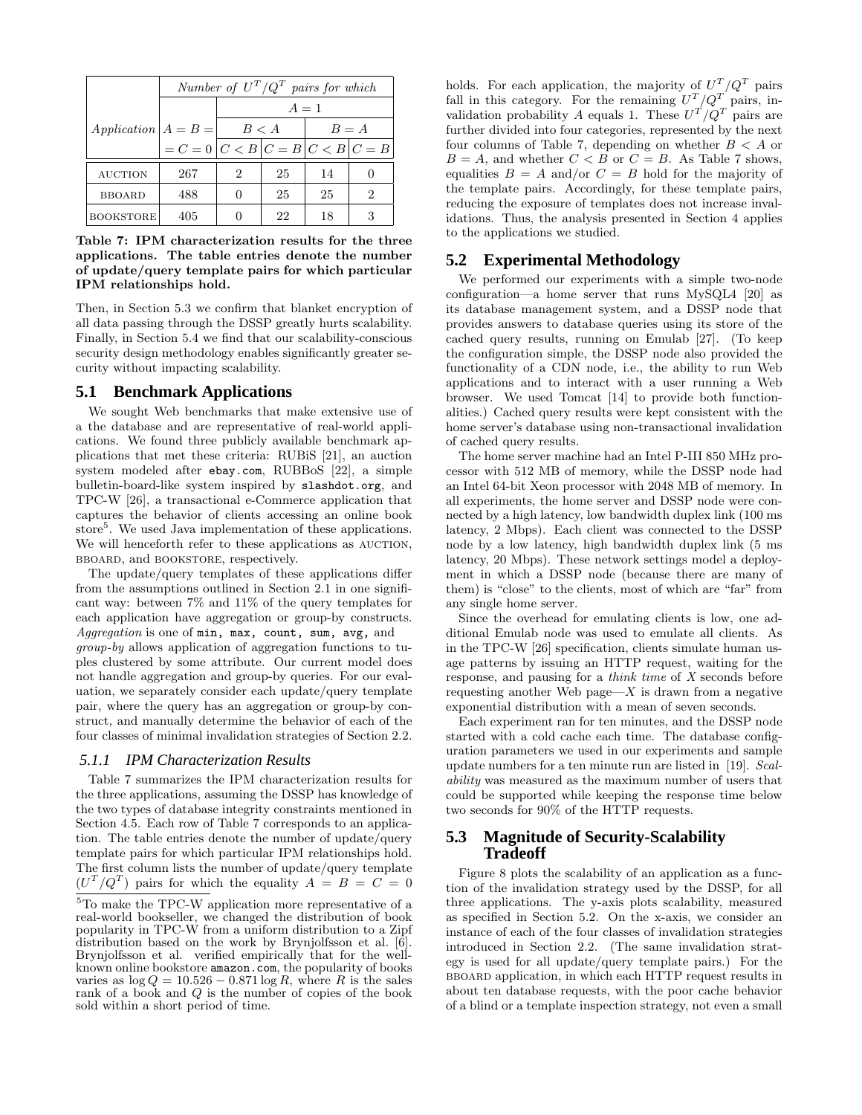|                         | Number of $U^T/Q^T$ pairs for which    |       |    |         |   |
|-------------------------|----------------------------------------|-------|----|---------|---|
|                         |                                        | $A=1$ |    |         |   |
| $Application   A = B =$ |                                        | B < A |    | $B = A$ |   |
|                         | $= C = 0  C < B  C = B  C < B  C = B $ |       |    |         |   |
| <b>AUCTION</b>          | 267                                    | 2     | 25 | 14      |   |
| <b>BBOARD</b>           | 488                                    |       | 25 | 25      | 2 |
| <b>BOOKSTORE</b>        | 405                                    |       | 22 | 18      |   |

Table 7: IPM characterization results for the three applications. The table entries denote the number of update/query template pairs for which particular IPM relationships hold.

Then, in Section 5.3 we confirm that blanket encryption of all data passing through the DSSP greatly hurts scalability. Finally, in Section 5.4 we find that our scalability-conscious security design methodology enables significantly greater security without impacting scalability.

### **5.1 Benchmark Applications**

We sought Web benchmarks that make extensive use of a the database and are representative of real-world applications. We found three publicly available benchmark applications that met these criteria: RUBiS [21], an auction system modeled after ebay.com, RUBBoS [22], a simple bulletin-board-like system inspired by slashdot.org, and TPC-W [26], a transactional e-Commerce application that captures the behavior of clients accessing an online book store<sup>5</sup>. We used Java implementation of these applications. We will henceforth refer to these applications as AUCTION, bboard, and bookstore, respectively.

The update/query templates of these applications differ from the assumptions outlined in Section 2.1 in one significant way: between 7% and 11% of the query templates for each application have aggregation or group-by constructs. Aggregation is one of min, max, count, sum, avg, and group-by allows application of aggregation functions to tuples clustered by some attribute. Our current model does not handle aggregation and group-by queries. For our evaluation, we separately consider each update/query template pair, where the query has an aggregation or group-by construct, and manually determine the behavior of each of the four classes of minimal invalidation strategies of Section 2.2.

#### *5.1.1 IPM Characterization Results*

Table 7 summarizes the IPM characterization results for the three applications, assuming the DSSP has knowledge of the two types of database integrity constraints mentioned in Section 4.5. Each row of Table 7 corresponds to an application. The table entries denote the number of update/query template pairs for which particular IPM relationships hold. The first column lists the number of update/query template  $(U^T/Q^T)$  pairs for which the equality  $A = B = C = 0$ 

holds. For each application, the majority of  $U^T/Q^T$  pairs fall in this category. For the remaining  $U^T/Q^T$  pairs, invalidation probability A equals 1. These  $U^T/Q^T$  pairs are further divided into four categories, represented by the next four columns of Table 7, depending on whether  $B < A$  or  $B = A$ , and whether  $C < B$  or  $C = B$ . As Table 7 shows, equalities  $B = A$  and/or  $C = B$  hold for the majority of the template pairs. Accordingly, for these template pairs, reducing the exposure of templates does not increase invalidations. Thus, the analysis presented in Section 4 applies to the applications we studied.

### **5.2 Experimental Methodology**

We performed our experiments with a simple two-node configuration—a home server that runs MySQL4 [20] as its database management system, and a DSSP node that provides answers to database queries using its store of the cached query results, running on Emulab [27]. (To keep the configuration simple, the DSSP node also provided the functionality of a CDN node, i.e., the ability to run Web applications and to interact with a user running a Web browser. We used Tomcat [14] to provide both functionalities.) Cached query results were kept consistent with the home server's database using non-transactional invalidation of cached query results.

The home server machine had an Intel P-III 850 MHz processor with 512 MB of memory, while the DSSP node had an Intel 64-bit Xeon processor with 2048 MB of memory. In all experiments, the home server and DSSP node were connected by a high latency, low bandwidth duplex link (100 ms latency, 2 Mbps). Each client was connected to the DSSP node by a low latency, high bandwidth duplex link (5 ms latency, 20 Mbps). These network settings model a deployment in which a DSSP node (because there are many of them) is "close" to the clients, most of which are "far" from any single home server.

Since the overhead for emulating clients is low, one additional Emulab node was used to emulate all clients. As in the TPC-W [26] specification, clients simulate human usage patterns by issuing an HTTP request, waiting for the response, and pausing for a think time of X seconds before requesting another Web page— $X$  is drawn from a negative exponential distribution with a mean of seven seconds.

Each experiment ran for ten minutes, and the DSSP node started with a cold cache each time. The database configuration parameters we used in our experiments and sample update numbers for a ten minute run are listed in [19]. Scalability was measured as the maximum number of users that could be supported while keeping the response time below two seconds for 90% of the HTTP requests.

## **5.3 Magnitude of Security-Scalability Tradeoff**

Figure 8 plots the scalability of an application as a function of the invalidation strategy used by the DSSP, for all three applications. The y-axis plots scalability, measured as specified in Section 5.2. On the x-axis, we consider an instance of each of the four classes of invalidation strategies introduced in Section 2.2. (The same invalidation strategy is used for all update/query template pairs.) For the bboard application, in which each HTTP request results in about ten database requests, with the poor cache behavior of a blind or a template inspection strategy, not even a small

 ${}^{5}{\rm To}$  make the TPC-W application more representative of a real-world bookseller, we changed the distribution of book popularity in TPC-W from a uniform distribution to a Zipf distribution based on the work by Brynjolfsson et al. [6]. Brynjolfsson et al. verified empirically that for the wellknown online bookstore amazon.com, the popularity of books varies as  $\log Q = 10.526 - 0.871 \log R$ , where R is the sales rank of a book and  $Q$  is the number of copies of the book sold within a short period of time.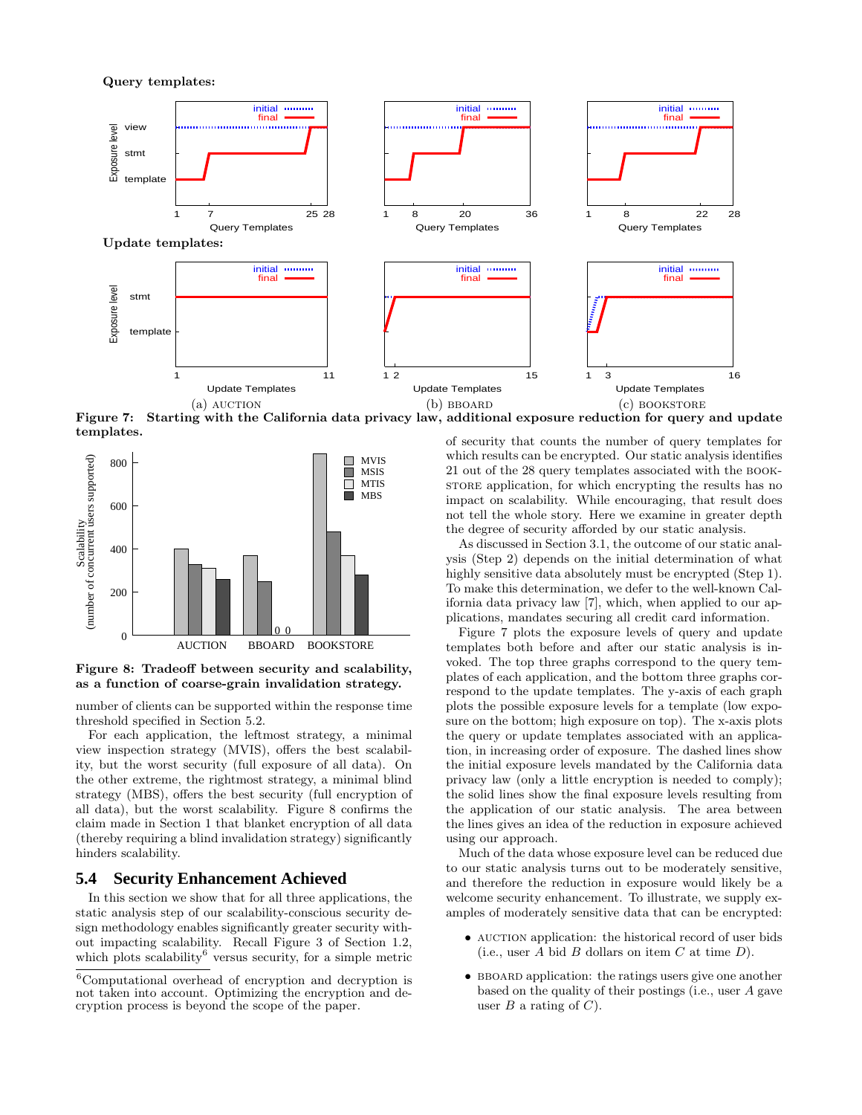Query templates:



Figure 7: Starting with the California data privacy law, additional exposure reduction for query and update templates.



Figure 8: Tradeoff between security and scalability, as a function of coarse-grain invalidation strategy.

number of clients can be supported within the response time threshold specified in Section 5.2.

For each application, the leftmost strategy, a minimal view inspection strategy (MVIS), offers the best scalability, but the worst security (full exposure of all data). On the other extreme, the rightmost strategy, a minimal blind strategy (MBS), offers the best security (full encryption of all data), but the worst scalability. Figure 8 confirms the claim made in Section 1 that blanket encryption of all data (thereby requiring a blind invalidation strategy) significantly hinders scalability.

### **5.4 Security Enhancement Achieved**

In this section we show that for all three applications, the static analysis step of our scalability-conscious security design methodology enables significantly greater security without impacting scalability. Recall Figure 3 of Section 1.2, which plots scalability<sup>6</sup> versus security, for a simple metric

of security that counts the number of query templates for which results can be encrypted. Our static analysis identifies 21 out of the 28 query templates associated with the bookstrong application, for which encrypting the results has no impact on scalability. While encouraging, that result does not tell the whole story. Here we examine in greater depth the degree of security afforded by our static analysis.

As discussed in Section 3.1, the outcome of our static analysis (Step 2) depends on the initial determination of what highly sensitive data absolutely must be encrypted (Step 1). To make this determination, we defer to the well-known California data privacy law [7], which, when applied to our applications, mandates securing all credit card information.

Figure 7 plots the exposure levels of query and update templates both before and after our static analysis is invoked. The top three graphs correspond to the query templates of each application, and the bottom three graphs correspond to the update templates. The y-axis of each graph plots the possible exposure levels for a template (low exposure on the bottom; high exposure on top). The x-axis plots the query or update templates associated with an application, in increasing order of exposure. The dashed lines show the initial exposure levels mandated by the California data privacy law (only a little encryption is needed to comply); the solid lines show the final exposure levels resulting from the application of our static analysis. The area between the lines gives an idea of the reduction in exposure achieved using our approach.

Much of the data whose exposure level can be reduced due to our static analysis turns out to be moderately sensitive, and therefore the reduction in exposure would likely be a welcome security enhancement. To illustrate, we supply examples of moderately sensitive data that can be encrypted:

- AUCTION application: the historical record of user bids (i.e., user  $A$  bid  $B$  dollars on item  $C$  at time  $D$ ).
- BBOARD application: the ratings users give one another based on the quality of their postings (i.e., user A gave user  $B$  a rating of  $C$ ).

<sup>6</sup>Computational overhead of encryption and decryption is not taken into account. Optimizing the encryption and decryption process is beyond the scope of the paper.